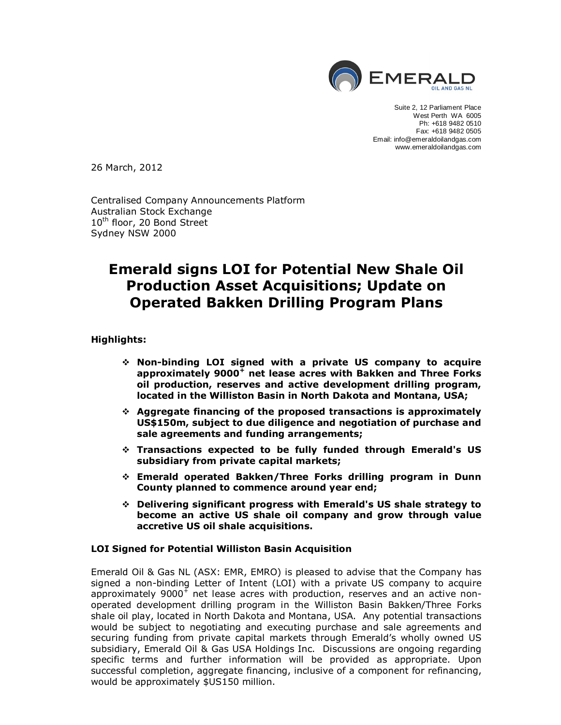

Suite 2, 12 Parliament Place West Perth WA 6005 Ph: +618 9482 0510 Fax: +618 9482 0505 Email: info@emeraldoilandgas.com www.emeraldoilandgas.com

26 March, 2012

Centralised Company Announcements Platform Australian Stock Exchange 10<sup>th</sup> floor, 20 Bond Street Sydney NSW 2000

# **Emerald signs LOI for Potential New Shale Oil Production Asset Acquisitions; Update on Operated Bakken Drilling Program Plans**

**Highlights:**

- v **Non-binding LOI signed with a private US company to acquire approximately 9000<sup>+</sup> net lease acres with Bakken and Three Forks oil production, reserves and active development drilling program, located in the Williston Basin in North Dakota and Montana, USA;**
- v **Aggregate financing of the proposed transactions is approximately US\$150m, subject to due diligence and negotiation of purchase and sale agreements and funding arrangements;**
- v **Transactions expected to be fully funded through Emerald's US subsidiary from private capital markets;**
- v **Emerald operated Bakken/Three Forks drilling program in Dunn County planned to commence around year end;**
- v **Delivering significant progress with Emerald's US shale strategy to become an active US shale oil company and grow through value accretive US oil shale acquisitions.**

### **LOI Signed for Potential Williston Basin Acquisition**

Emerald Oil & Gas NL (ASX: EMR, EMRO) is pleased to advise that the Company has signed a non-binding Letter of Intent (LOI) with a private US company to acquire approximately 9000<sup>+</sup> net lease acres with production, reserves and an active nonoperated development drilling program in the Williston Basin Bakken/Three Forks shale oil play, located in North Dakota and Montana, USA. Any potential transactions would be subject to negotiating and executing purchase and sale agreements and securing funding from private capital markets through Emerald's wholly owned US subsidiary, Emerald Oil & Gas USA Holdings Inc. Discussions are ongoing regarding specific terms and further information will be provided as appropriate. Upon successful completion, aggregate financing, inclusive of a component for refinancing, would be approximately \$US150 million.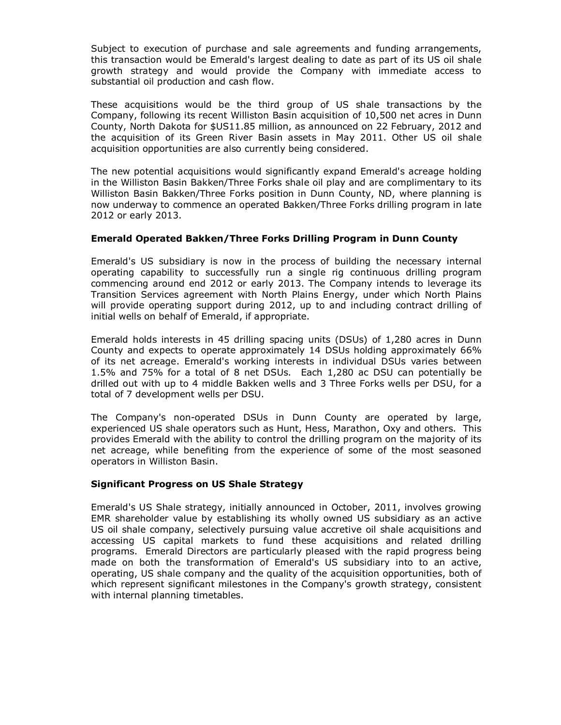Subject to execution of purchase and sale agreements and funding arrangements, this transaction would be Emerald's largest dealing to date as part of its US oil shale growth strategy and would provide the Company with immediate access to substantial oil production and cash flow.

These acquisitions would be the third group of US shale transactions by the Company, following its recent Williston Basin acquisition of 10,500 net acres in Dunn County, North Dakota for \$US11.85 million, as announced on 22 February, 2012 and the acquisition of its Green River Basin assets in May 2011. Other US oil shale acquisition opportunities are also currently being considered.

The new potential acquisitions would significantly expand Emerald's acreage holding in the Williston Basin Bakken/Three Forks shale oil play and are complimentary to its Williston Basin Bakken/Three Forks position in Dunn County, ND, where planning is now underway to commence an operated Bakken/Three Forks drilling program in late 2012 or early 2013.

### **Emerald Operated Bakken/Three Forks Drilling Program in Dunn County**

Emerald's US subsidiary is now in the process of building the necessary internal operating capability to successfully run a single rig continuous drilling program commencing around end 2012 or early 2013. The Company intends to leverage its Transition Services agreement with North Plains Energy, under which North Plains will provide operating support during 2012, up to and including contract drilling of initial wells on behalf of Emerald, if appropriate.

Emerald holds interests in 45 drilling spacing units (DSUs) of 1,280 acres in Dunn County and expects to operate approximately 14 DSUs holding approximately 66% of its net acreage. Emerald's working interests in individual DSUs varies between 1.5% and 75% for a total of 8 net DSUs. Each 1,280 ac DSU can potentially be drilled out with up to 4 middle Bakken wells and 3 Three Forks wells per DSU, for a total of 7 development wells per DSU.

The Company's non-operated DSUs in Dunn County are operated by large, experienced US shale operators such as Hunt, Hess, Marathon, Oxy and others. This provides Emerald with the ability to control the drilling program on the majority of its net acreage, while benefiting from the experience of some of the most seasoned operators in Williston Basin.

### **Significant Progress on US Shale Strategy**

Emerald's US Shale strategy, initially announced in October, 2011, involves growing EMR shareholder value by establishing its wholly owned US subsidiary as an active US oil shale company, selectively pursuing value accretive oil shale acquisitions and accessing US capital markets to fund these acquisitions and related drilling programs. Emerald Directors are particularly pleased with the rapid progress being made on both the transformation of Emerald's US subsidiary into to an active, operating, US shale company and the quality of the acquisition opportunities, both of which represent significant milestones in the Company's growth strategy, consistent with internal planning timetables.